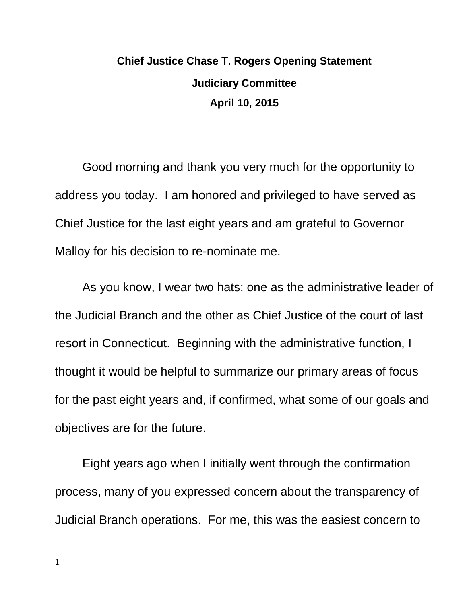## **Chief Justice Chase T. Rogers Opening Statement Judiciary Committee April 10, 2015**

Good morning and thank you very much for the opportunity to address you today. I am honored and privileged to have served as Chief Justice for the last eight years and am grateful to Governor Malloy for his decision to re-nominate me.

As you know, I wear two hats: one as the administrative leader of the Judicial Branch and the other as Chief Justice of the court of last resort in Connecticut. Beginning with the administrative function, I thought it would be helpful to summarize our primary areas of focus for the past eight years and, if confirmed, what some of our goals and objectives are for the future.

Eight years ago when I initially went through the confirmation process, many of you expressed concern about the transparency of Judicial Branch operations. For me, this was the easiest concern to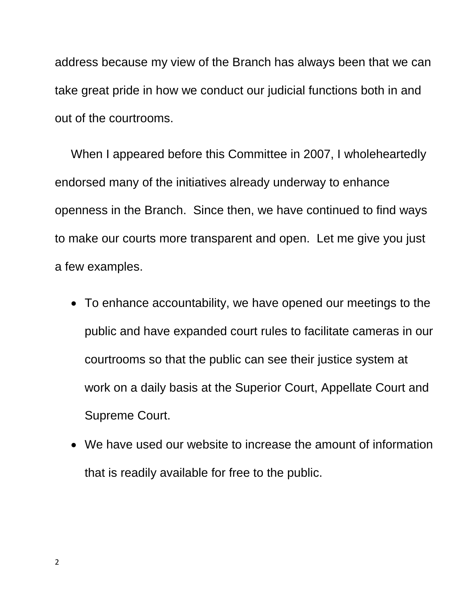address because my view of the Branch has always been that we can take great pride in how we conduct our judicial functions both in and out of the courtrooms.

When I appeared before this Committee in 2007, I wholeheartedly endorsed many of the initiatives already underway to enhance openness in the Branch. Since then, we have continued to find ways to make our courts more transparent and open. Let me give you just a few examples.

- To enhance accountability, we have opened our meetings to the public and have expanded court rules to facilitate cameras in our courtrooms so that the public can see their justice system at work on a daily basis at the Superior Court, Appellate Court and Supreme Court.
- We have used our website to increase the amount of information that is readily available for free to the public.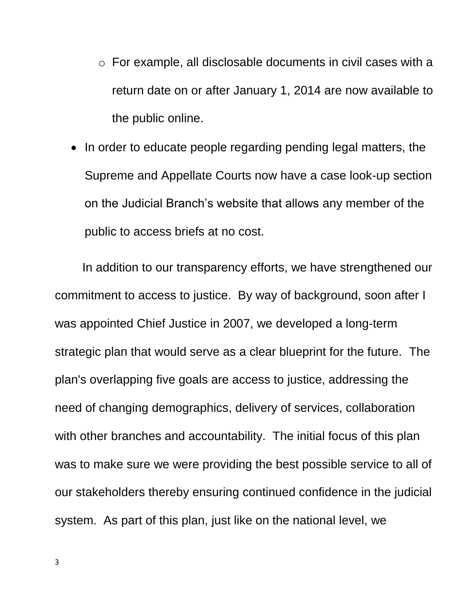- o For example, all disclosable documents in civil cases with a return date on or after January 1, 2014 are now available to the public online.
- In order to educate people regarding pending legal matters, the Supreme and Appellate Courts now have a case look-up section on the Judicial Branch's website that allows any member of the public to access briefs at no cost.

In addition to our transparency efforts, we have strengthened our commitment to access to justice. By way of background, soon after I was appointed Chief Justice in 2007, we developed a long-term strategic plan that would serve as a clear blueprint for the future. The plan's overlapping five goals are access to justice, addressing the need of changing demographics, delivery of services, collaboration with other branches and accountability. The initial focus of this plan was to make sure we were providing the best possible service to all of our stakeholders thereby ensuring continued confidence in the judicial system. As part of this plan, just like on the national level, we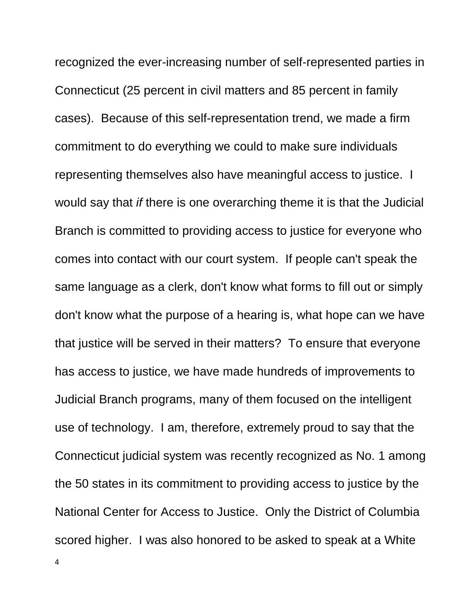recognized the ever-increasing number of self-represented parties in Connecticut (25 percent in civil matters and 85 percent in family cases). Because of this self-representation trend, we made a firm commitment to do everything we could to make sure individuals representing themselves also have meaningful access to justice. I would say that *if* there is one overarching theme it is that the Judicial Branch is committed to providing access to justice for everyone who comes into contact with our court system. If people can't speak the same language as a clerk, don't know what forms to fill out or simply don't know what the purpose of a hearing is, what hope can we have that justice will be served in their matters? To ensure that everyone has access to justice, we have made hundreds of improvements to Judicial Branch programs, many of them focused on the intelligent use of technology. I am, therefore, extremely proud to say that the Connecticut judicial system was recently recognized as No. 1 among the 50 states in its commitment to providing access to justice by the National Center for Access to Justice. Only the District of Columbia scored higher. I was also honored to be asked to speak at a White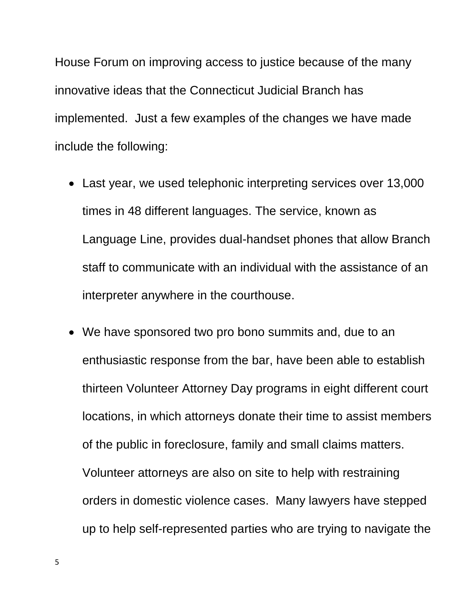House Forum on improving access to justice because of the many innovative ideas that the Connecticut Judicial Branch has implemented. Just a few examples of the changes we have made include the following:

- Last year, we used telephonic interpreting services over 13,000 times in 48 different languages. The service, known as Language Line, provides dual-handset phones that allow Branch staff to communicate with an individual with the assistance of an interpreter anywhere in the courthouse.
- We have sponsored two pro bono summits and, due to an enthusiastic response from the bar, have been able to establish thirteen Volunteer Attorney Day programs in eight different court locations, in which attorneys donate their time to assist members of the public in foreclosure, family and small claims matters. Volunteer attorneys are also on site to help with restraining orders in domestic violence cases. Many lawyers have stepped up to help self-represented parties who are trying to navigate the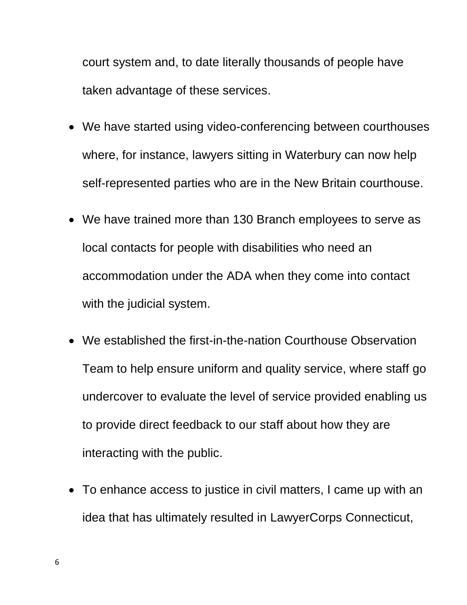court system and, to date literally thousands of people have taken advantage of these services.

- We have started using video-conferencing between courthouses where, for instance, lawyers sitting in Waterbury can now help self-represented parties who are in the New Britain courthouse.
- We have trained more than 130 Branch employees to serve as local contacts for people with disabilities who need an accommodation under the ADA when they come into contact with the judicial system.
- We established the first-in-the-nation Courthouse Observation Team to help ensure uniform and quality service, where staff go undercover to evaluate the level of service provided enabling us to provide direct feedback to our staff about how they are interacting with the public.
- To enhance access to justice in civil matters, I came up with an idea that has ultimately resulted in LawyerCorps Connecticut,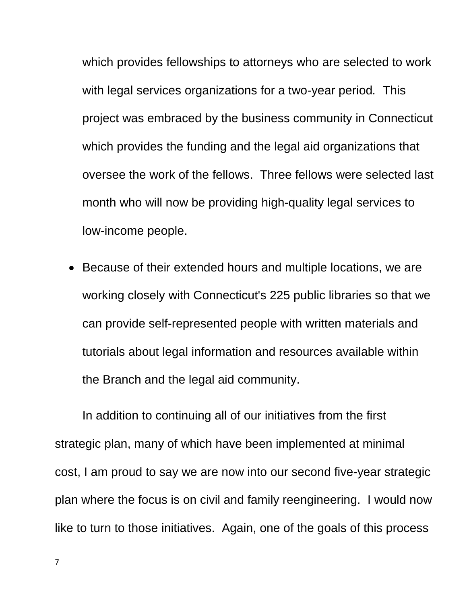which provides fellowships to attorneys who are selected to work with legal services organizations for a two-year period*.* This project was embraced by the business community in Connecticut which provides the funding and the legal aid organizations that oversee the work of the fellows. Three fellows were selected last month who will now be providing high-quality legal services to low-income people.

• Because of their extended hours and multiple locations, we are working closely with Connecticut's 225 public libraries so that we can provide self-represented people with written materials and tutorials about legal information and resources available within the Branch and the legal aid community.

In addition to continuing all of our initiatives from the first strategic plan, many of which have been implemented at minimal cost, I am proud to say we are now into our second five-year strategic plan where the focus is on civil and family reengineering. I would now like to turn to those initiatives. Again, one of the goals of this process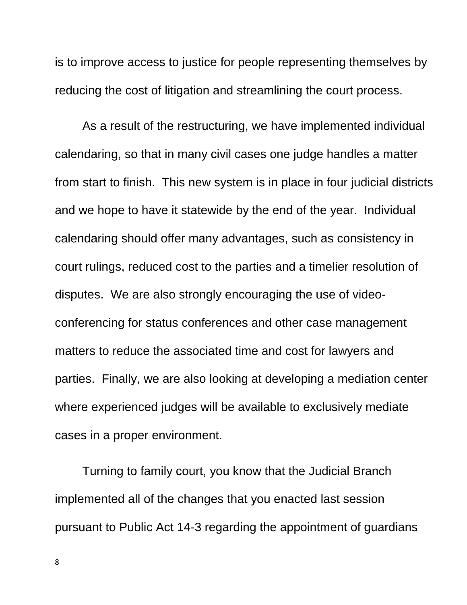is to improve access to justice for people representing themselves by reducing the cost of litigation and streamlining the court process.

As a result of the restructuring, we have implemented individual calendaring, so that in many civil cases one judge handles a matter from start to finish. This new system is in place in four judicial districts and we hope to have it statewide by the end of the year. Individual calendaring should offer many advantages, such as consistency in court rulings, reduced cost to the parties and a timelier resolution of disputes. We are also strongly encouraging the use of videoconferencing for status conferences and other case management matters to reduce the associated time and cost for lawyers and parties. Finally, we are also looking at developing a mediation center where experienced judges will be available to exclusively mediate cases in a proper environment.

Turning to family court, you know that the Judicial Branch implemented all of the changes that you enacted last session pursuant to Public Act 14-3 regarding the appointment of guardians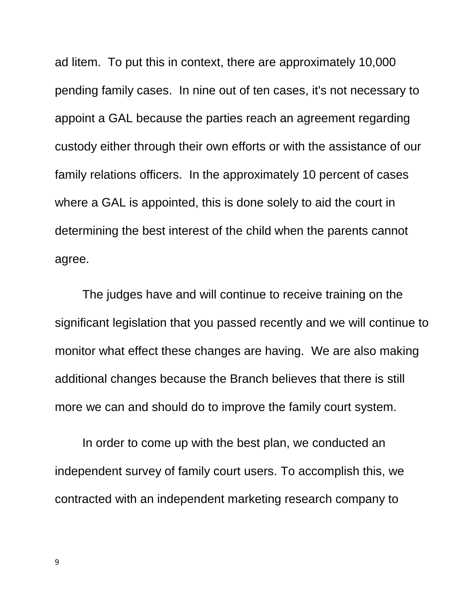ad litem. To put this in context, there are approximately 10,000 pending family cases. In nine out of ten cases, it's not necessary to appoint a GAL because the parties reach an agreement regarding custody either through their own efforts or with the assistance of our family relations officers. In the approximately 10 percent of cases where a GAL is appointed, this is done solely to aid the court in determining the best interest of the child when the parents cannot agree.

The judges have and will continue to receive training on the significant legislation that you passed recently and we will continue to monitor what effect these changes are having. We are also making additional changes because the Branch believes that there is still more we can and should do to improve the family court system.

In order to come up with the best plan, we conducted an independent survey of family court users. To accomplish this, we contracted with an independent marketing research company to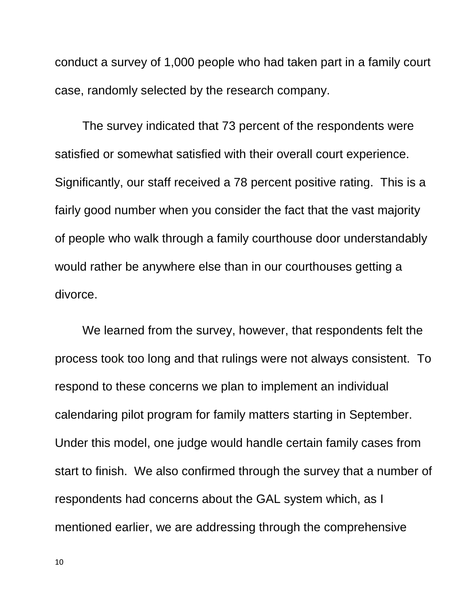conduct a survey of 1,000 people who had taken part in a family court case, randomly selected by the research company.

The survey indicated that 73 percent of the respondents were satisfied or somewhat satisfied with their overall court experience. Significantly, our staff received a 78 percent positive rating. This is a fairly good number when you consider the fact that the vast majority of people who walk through a family courthouse door understandably would rather be anywhere else than in our courthouses getting a divorce.

We learned from the survey, however, that respondents felt the process took too long and that rulings were not always consistent. To respond to these concerns we plan to implement an individual calendaring pilot program for family matters starting in September. Under this model, one judge would handle certain family cases from start to finish. We also confirmed through the survey that a number of respondents had concerns about the GAL system which, as I mentioned earlier, we are addressing through the comprehensive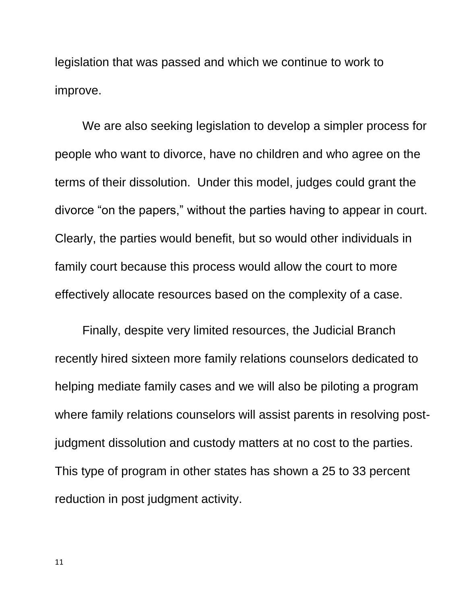legislation that was passed and which we continue to work to improve.

We are also seeking legislation to develop a simpler process for people who want to divorce, have no children and who agree on the terms of their dissolution. Under this model, judges could grant the divorce "on the papers," without the parties having to appear in court. Clearly, the parties would benefit, but so would other individuals in family court because this process would allow the court to more effectively allocate resources based on the complexity of a case.

Finally, despite very limited resources, the Judicial Branch recently hired sixteen more family relations counselors dedicated to helping mediate family cases and we will also be piloting a program where family relations counselors will assist parents in resolving postjudgment dissolution and custody matters at no cost to the parties. This type of program in other states has shown a 25 to 33 percent reduction in post judgment activity.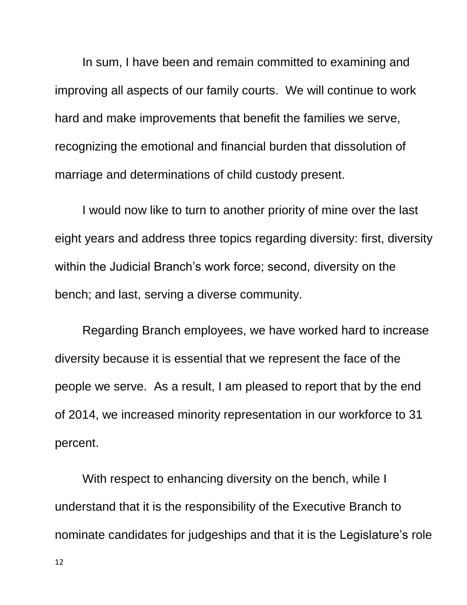In sum, I have been and remain committed to examining and improving all aspects of our family courts. We will continue to work hard and make improvements that benefit the families we serve, recognizing the emotional and financial burden that dissolution of marriage and determinations of child custody present.

I would now like to turn to another priority of mine over the last eight years and address three topics regarding diversity: first, diversity within the Judicial Branch's work force; second, diversity on the bench; and last, serving a diverse community.

Regarding Branch employees, we have worked hard to increase diversity because it is essential that we represent the face of the people we serve. As a result, I am pleased to report that by the end of 2014, we increased minority representation in our workforce to 31 percent.

With respect to enhancing diversity on the bench, while I understand that it is the responsibility of the Executive Branch to nominate candidates for judgeships and that it is the Legislature's role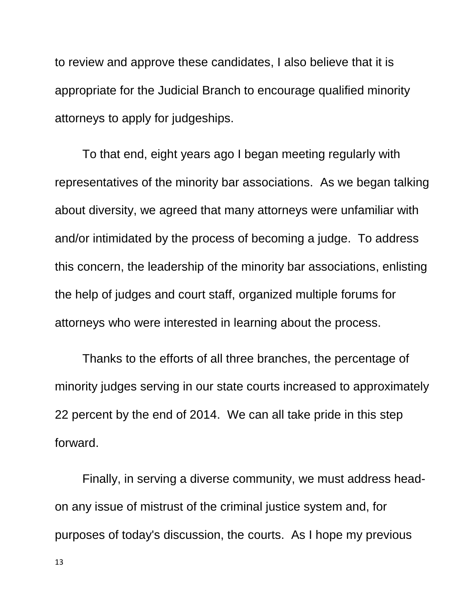to review and approve these candidates, I also believe that it is appropriate for the Judicial Branch to encourage qualified minority attorneys to apply for judgeships.

To that end, eight years ago I began meeting regularly with representatives of the minority bar associations. As we began talking about diversity, we agreed that many attorneys were unfamiliar with and/or intimidated by the process of becoming a judge. To address this concern, the leadership of the minority bar associations, enlisting the help of judges and court staff, organized multiple forums for attorneys who were interested in learning about the process.

Thanks to the efforts of all three branches, the percentage of minority judges serving in our state courts increased to approximately 22 percent by the end of 2014. We can all take pride in this step forward.

Finally, in serving a diverse community, we must address headon any issue of mistrust of the criminal justice system and, for purposes of today's discussion, the courts. As I hope my previous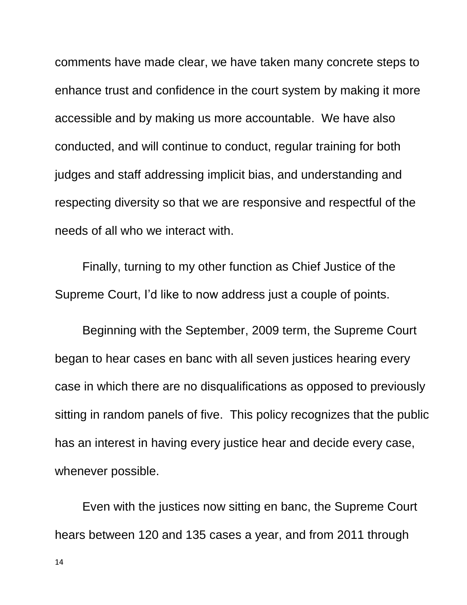comments have made clear, we have taken many concrete steps to enhance trust and confidence in the court system by making it more accessible and by making us more accountable. We have also conducted, and will continue to conduct, regular training for both judges and staff addressing implicit bias, and understanding and respecting diversity so that we are responsive and respectful of the needs of all who we interact with.

Finally, turning to my other function as Chief Justice of the Supreme Court, I'd like to now address just a couple of points.

Beginning with the September, 2009 term, the Supreme Court began to hear cases en banc with all seven justices hearing every case in which there are no disqualifications as opposed to previously sitting in random panels of five. This policy recognizes that the public has an interest in having every justice hear and decide every case, whenever possible.

Even with the justices now sitting en banc, the Supreme Court hears between 120 and 135 cases a year, and from 2011 through